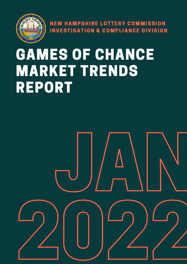

NEW HAMPSHIRE LOTTERY COMMISSION INVESTIGATION & COMPLIANCE DIVISION

# GAMES OF CHANCE MARKET TRENDS REPORT

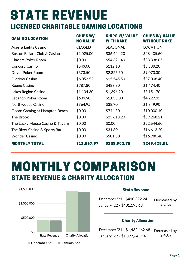## STATE REVENUE LICENSED CHARITABLE GAMING LOCATIONS

| <b>GAMING LOCATION</b>          | <b>CHIPS W/</b><br><b>NO VALUE</b> | <b>CHIPS W/ VALUE</b><br><b>WITH RAKE</b> | <b>CHIPS W/ VALUE</b><br><b>WITHOUT RAKE</b> |
|---------------------------------|------------------------------------|-------------------------------------------|----------------------------------------------|
| Aces & Eights Casino            | <b>CLOSED</b>                      | SEASONAL                                  | <b>LOCATION</b>                              |
| Boston Billiard Club & Casino   | \$2,025.00                         | \$36,444.20                               | \$48,405.60                                  |
| <b>Chasers Poker Room</b>       | \$0.00                             | \$54,321.40                               | \$33,338.05                                  |
| <b>Concord Casino</b>           | \$549.00                           | \$112.10                                  | \$5,389.20                                   |
| Dover Poker Room                | \$373.50                           | \$2,825.50                                | \$9,073.30                                   |
| Filotimo Casino                 | \$6,053.52                         | \$15,545.50                               | \$37,008.40                                  |
| Keene Casino                    | \$787.80                           | \$489.80                                  | \$1,474.40                                   |
| Lakes Region Casino             | \$1,104.30                         | \$1,396.20                                | \$3,151.70                                   |
| Lebanon Poker Room              | \$609.90                           | \$1,838.00                                | \$4,227.95                                   |
| Northwoods Casino               | \$364.95                           | \$38.90                                   | \$1,849.90                                   |
| Ocean Gaming at Hampton Beach   | \$0.00                             | \$744.30                                  | \$10,000.10                                  |
| The Brook                       | \$0.00                             | \$25,613.20                               | \$39,268.21                                  |
| The Lucky Moose Casino & Tavern | \$0.00                             | \$0.00                                    | \$22,644.60                                  |
| The River Casino & Sports Bar   | \$0.00                             | \$31.80                                   | \$16,613.20                                  |
| <b>Wonder Casino</b>            | \$0.00                             | \$501.80                                  | \$16,980.40                                  |
| <b>MONTHLY TOTAL</b>            | \$11,867.97                        | \$139,902.70                              | \$249,425.01                                 |

### MONTHLY COMPARISON STATE REVENUE & CHARITY ALLOCATION



#### State Revenue

December '21 - \$410,392.24 January '22 - \$401,195.68

Decreased by 2.24%

#### Charity Allocation

Decreased by 2.43% December '21 - \$1,432,462.68 January '22 - \$1,397,645.94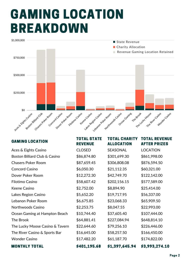## GAMING LOCATION BREAKDOWN



| <b>GAMING LOCATION</b>          | <b>TOTAL STATE</b><br><b>REVENUE</b> | <b>TOTAL CHARITY</b><br><b>ALLOCATION</b> | <b>TOTAL REVENUE</b><br><b>AFTER PRIZES</b> |
|---------------------------------|--------------------------------------|-------------------------------------------|---------------------------------------------|
| Aces & Eights Casino            | <b>CLOSED</b>                        | SEASONAL                                  | <b>LOCATION</b>                             |
| Boston Billiard Club & Casino   | \$86,874.80                          | \$301,699.30                              | \$861,998.00                                |
| <b>Chasers Poker Room</b>       | \$87,659.45                          | \$306,808.08                              | \$876,594.50                                |
| <b>Concord Casino</b>           | \$6,050.30                           | \$21,112.35                               | \$60,321.00                                 |
| Dover Poker Room                | \$12,272.30                          | \$42,749.70                               | \$122,142.00                                |
| Filotimo Casino                 | \$58,607.42                          | \$202,156.15                              | \$577,589.00                                |
| Keene Casino                    | \$2,752.00                           | \$8,894.90                                | \$25,414.00                                 |
| Lakes Region Casino             | \$5,652.20                           | \$19,717.95                               | \$56,337.00                                 |
| Lebanon Poker Room              | \$6,675.85                           | \$23,068.33                               | \$65,909.50                                 |
| Northwoods Casino               | \$2,253.75                           | \$8,047.55                                | \$22,993.00                                 |
| Ocean Gaming at Hampton Beach   | \$10,744.40                          | \$37,605.40                               | \$107,444.00                                |
| The Brook                       | \$64,881.41                          | \$227,084.94                              | \$648,814.10                                |
| The Lucky Moose Casino & Tavern | \$22,644.60                          | \$79,256.10                               | \$226,446.00                                |
| The River Casino & Sports Bar   | \$16,645.00                          | \$58,257.50                               | \$166,450.00                                |
| <b>Wonder Casino</b>            | \$17,482.20                          | \$61,187.70                               | \$174,822.00                                |
| <b>MONTHLY TOTAL</b>            | \$401,195.68                         | \$1,397,645.94                            | \$3,993,274.10                              |